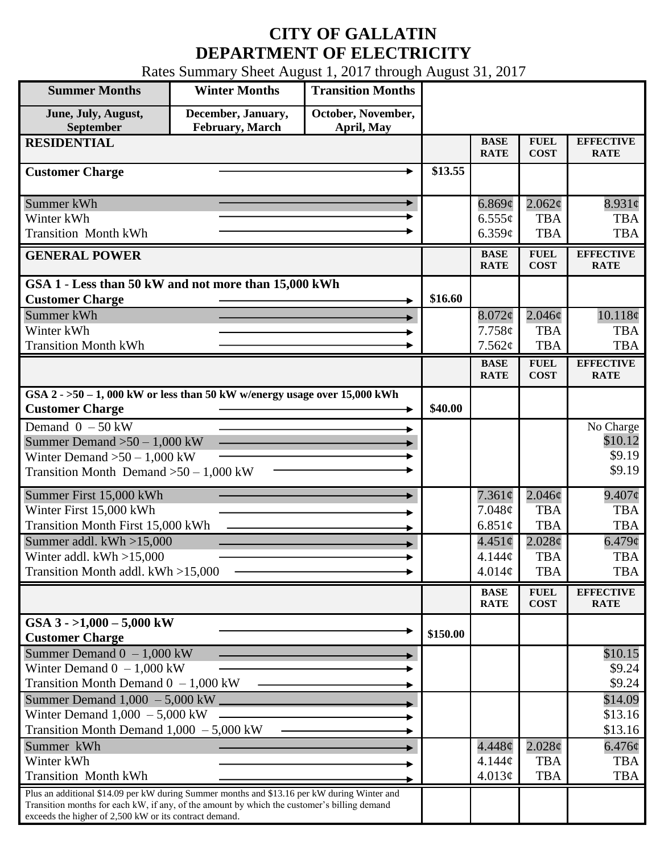## **CITY OF GALLATIN DEPARTMENT OF ELECTRICITY**

Rates Summary Sheet August 1, 2017 through August 31, 2017

| <b>Summer Months</b>                                                                                                                                                                                                                                 | <b>Winter Months</b>                          | <b>Transition Months</b>         |          |                            |                            |                                 |
|------------------------------------------------------------------------------------------------------------------------------------------------------------------------------------------------------------------------------------------------------|-----------------------------------------------|----------------------------------|----------|----------------------------|----------------------------|---------------------------------|
| June, July, August,<br>September                                                                                                                                                                                                                     | December, January,<br><b>February</b> , March | October, November,<br>April, May |          |                            |                            |                                 |
| <b>RESIDENTIAL</b>                                                                                                                                                                                                                                   |                                               |                                  |          | <b>BASE</b><br><b>RATE</b> | <b>FUEL</b><br><b>COST</b> | <b>EFFECTIVE</b><br><b>RATE</b> |
| <b>Customer Charge</b>                                                                                                                                                                                                                               |                                               |                                  | \$13.55  |                            |                            |                                 |
| Summer kWh                                                                                                                                                                                                                                           |                                               |                                  |          | 6.869¢                     | $2.062\phi$                | $8.931\phi$                     |
| Winter kWh                                                                                                                                                                                                                                           |                                               |                                  |          | $6.555\sigma$              | <b>TBA</b>                 | <b>TBA</b>                      |
| <b>Transition Month kWh</b>                                                                                                                                                                                                                          |                                               |                                  |          | 6.359¢                     | <b>TBA</b>                 | <b>TBA</b>                      |
| <b>GENERAL POWER</b>                                                                                                                                                                                                                                 |                                               |                                  |          | <b>BASE</b><br><b>RATE</b> | <b>FUEL</b><br><b>COST</b> | <b>EFFECTIVE</b><br><b>RATE</b> |
| GSA 1 - Less than 50 kW and not more than 15,000 kWh                                                                                                                                                                                                 |                                               |                                  |          |                            |                            |                                 |
| <b>Customer Charge</b>                                                                                                                                                                                                                               |                                               |                                  | \$16.60  |                            |                            |                                 |
| Summer kWh                                                                                                                                                                                                                                           |                                               |                                  |          | $8.072\phi$                | $2.046\phi$                | 10.118¢                         |
| Winter kWh<br><b>Transition Month kWh</b>                                                                                                                                                                                                            |                                               |                                  |          | 7.758c<br>7.562¢           | <b>TBA</b><br><b>TBA</b>   | <b>TBA</b><br><b>TBA</b>        |
|                                                                                                                                                                                                                                                      |                                               |                                  |          |                            |                            | <b>EFFECTIVE</b>                |
|                                                                                                                                                                                                                                                      |                                               |                                  |          | <b>BASE</b><br><b>RATE</b> | <b>FUEL</b><br><b>COST</b> | <b>RATE</b>                     |
| GSA $2 - 50 - 1$ , 000 kW or less than 50 kW w/energy usage over 15,000 kWh<br><b>Customer Charge</b>                                                                                                                                                |                                               |                                  | \$40.00  |                            |                            |                                 |
| Demand $0 - 50$ kW                                                                                                                                                                                                                                   |                                               |                                  |          |                            |                            | No Charge                       |
| Summer Demand $>50 - 1,000$ kW                                                                                                                                                                                                                       |                                               |                                  |          |                            |                            | \$10.12                         |
| Winter Demand $>50 - 1,000$ kW                                                                                                                                                                                                                       |                                               |                                  |          |                            |                            | \$9.19                          |
| Transition Month Demand $>50-1,000$ kW                                                                                                                                                                                                               |                                               |                                  |          |                            |                            | \$9.19                          |
| Summer First 15,000 kWh                                                                                                                                                                                                                              |                                               |                                  |          | $7.361\phi$                | $2.046\phi$                | $9.407\phi$                     |
| Winter First 15,000 kWh                                                                                                                                                                                                                              |                                               |                                  |          | 7.048¢                     | <b>TBA</b>                 | <b>TBA</b>                      |
| Transition Month First 15,000 kWh                                                                                                                                                                                                                    |                                               |                                  |          | 6.851 $\phi$               | <b>TBA</b>                 | <b>TBA</b>                      |
| Summer addl. $kWh > 15,000$                                                                                                                                                                                                                          |                                               |                                  |          | $4.451\circ$               | $2.028\phi$                | $6.479\phi$                     |
| Winter addl. $kWh > 15,000$                                                                                                                                                                                                                          |                                               |                                  |          | 4.144¢                     | <b>TBA</b>                 | <b>TBA</b>                      |
| Transition Month addl. kWh >15,000                                                                                                                                                                                                                   |                                               |                                  |          | 4.014¢                     | <b>TBA</b>                 | <b>TBA</b>                      |
|                                                                                                                                                                                                                                                      |                                               |                                  |          | <b>BASE</b><br><b>RATE</b> | <b>FUEL</b><br><b>COST</b> | <b>EFFECTIVE</b><br><b>RATE</b> |
| GSA $3 - 1,000 - 5,000$ kW<br><b>Customer Charge</b>                                                                                                                                                                                                 |                                               |                                  | \$150.00 |                            |                            |                                 |
| Summer Demand $0 - 1,000$ kW                                                                                                                                                                                                                         |                                               |                                  |          |                            |                            | \$10.15                         |
| Winter Demand $0 - 1,000$ kW                                                                                                                                                                                                                         |                                               |                                  |          |                            |                            | \$9.24                          |
| Transition Month Demand $0 - 1,000$ kW                                                                                                                                                                                                               |                                               |                                  |          |                            |                            | \$9.24                          |
| Summer Demand $1,000 - 5,000$ kW $\Box$                                                                                                                                                                                                              |                                               |                                  |          |                            |                            | \$14.09                         |
| Winter Demand $1,000 - 5,000$ kW                                                                                                                                                                                                                     |                                               |                                  |          |                            |                            | \$13.16                         |
| Transition Month Demand $1,000 - 5,000$ kW                                                                                                                                                                                                           |                                               |                                  |          |                            |                            | \$13.16                         |
| Summer kWh                                                                                                                                                                                                                                           |                                               |                                  |          | $4.448\phi$                | $2.028\phi$                | $6.476\phi$                     |
| Winter kWh                                                                                                                                                                                                                                           |                                               |                                  |          | 4.144¢                     | <b>TBA</b>                 | <b>TBA</b>                      |
| <b>Transition Month kWh</b>                                                                                                                                                                                                                          |                                               |                                  |          | 4.013¢                     | <b>TBA</b>                 | <b>TBA</b>                      |
| Plus an additional \$14.09 per kW during Summer months and \$13.16 per kW during Winter and<br>Transition months for each kW, if any, of the amount by which the customer's billing demand<br>exceeds the higher of 2,500 kW or its contract demand. |                                               |                                  |          |                            |                            |                                 |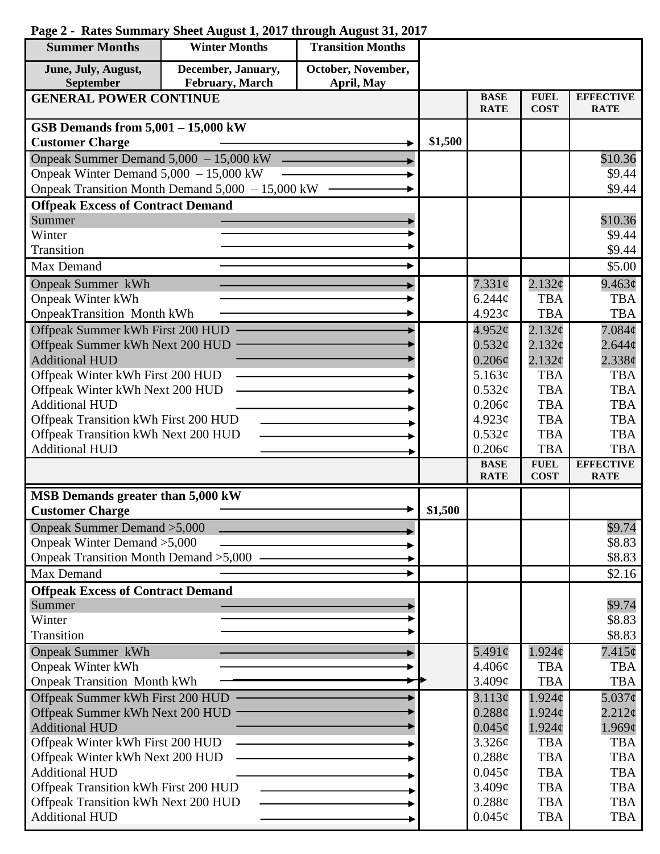## **Page 2 - Rates Summary Sheet August 1, 2017 through August 31, 2017**

| <b>Summer Months</b>                                     | <b>Winter Months</b>                             | <b>Transition Months</b> |         |                              |                            |                                 |
|----------------------------------------------------------|--------------------------------------------------|--------------------------|---------|------------------------------|----------------------------|---------------------------------|
| June, July, August,                                      | December, January,                               | October, November,       |         |                              |                            |                                 |
| September                                                | February, March                                  | April, May               |         |                              |                            |                                 |
| <b>GENERAL POWER CONTINUE</b>                            |                                                  |                          |         | <b>BASE</b><br><b>RATE</b>   | <b>FUEL</b><br><b>COST</b> | <b>EFFECTIVE</b><br><b>RATE</b> |
| GSB Demands from $5,001 - 15,000$ kW                     |                                                  |                          |         |                              |                            |                                 |
| <b>Customer Charge</b>                                   |                                                  |                          | \$1,500 |                              |                            |                                 |
| Onpeak Summer Demand 5,000 - 15,000 kW                   |                                                  |                          |         |                              |                            | \$10.36                         |
| Onpeak Winter Demand $5,000 - 15,000$ kW                 |                                                  |                          |         |                              |                            | \$9.44                          |
|                                                          | Onpeak Transition Month Demand 5,000 - 15,000 kW |                          |         |                              |                            | \$9.44                          |
| <b>Offpeak Excess of Contract Demand</b>                 |                                                  |                          |         |                              |                            |                                 |
| Summer                                                   |                                                  |                          |         |                              |                            | \$10.36                         |
| Winter                                                   |                                                  |                          |         |                              |                            | \$9.44                          |
| Transition                                               |                                                  |                          |         |                              |                            | \$9.44                          |
| Max Demand                                               |                                                  |                          |         |                              |                            | \$5.00                          |
| <b>Onpeak Summer kWh</b>                                 |                                                  |                          |         | 7.331¢                       | 2.132¢                     | 9.463¢                          |
| <b>Onpeak Winter kWh</b>                                 |                                                  |                          |         | $6.244\phi$                  | <b>TBA</b>                 | <b>TBA</b>                      |
| <b>OnpeakTransition Month kWh</b>                        |                                                  |                          |         | 4.923¢                       | <b>TBA</b>                 | <b>TBA</b>                      |
| Offpeak Summer kWh First 200 HUD                         |                                                  |                          |         | 4.952¢                       | 2.132¢                     | 7.084 <sub>c</sub>              |
| Offpeak Summer kWh Next 200 HUD                          |                                                  |                          |         | 0.532¢                       | $2.132\mathcal{C}$         | $2.644\mathcal{C}$              |
| <b>Additional HUD</b>                                    |                                                  |                          |         | $0.206\phi$                  | 2.132¢                     | $2.338\phi$                     |
| Offpeak Winter kWh First 200 HUD                         |                                                  |                          |         | 5.163¢                       | <b>TBA</b><br><b>TBA</b>   | <b>TBA</b><br><b>TBA</b>        |
| Offpeak Winter kWh Next 200 HUD<br><b>Additional HUD</b> |                                                  |                          |         | 0.532¢<br>$0.206\mathcal{C}$ | <b>TBA</b>                 | <b>TBA</b>                      |
| Offpeak Transition kWh First 200 HUD                     |                                                  |                          |         | 4.923¢                       | <b>TBA</b>                 | <b>TBA</b>                      |
| Offpeak Transition kWh Next 200 HUD                      |                                                  |                          |         | 0.532¢                       | <b>TBA</b>                 | <b>TBA</b>                      |
| <b>Additional HUD</b>                                    |                                                  |                          |         | $0.206\mathcal{C}$           | <b>TBA</b>                 | <b>TBA</b>                      |
|                                                          |                                                  |                          |         | <b>BASE</b>                  | <b>FUEL</b>                | <b>EFFECTIVE</b>                |
|                                                          |                                                  |                          |         | <b>RATE</b>                  | <b>COST</b>                | <b>RATE</b>                     |
| MSB Demands greater than 5,000 kW                        |                                                  |                          |         |                              |                            |                                 |
| <b>Customer Charge</b>                                   |                                                  |                          | \$1,500 |                              |                            |                                 |
| Onpeak Summer Demand > 5,000                             |                                                  |                          |         |                              |                            | \$9.74                          |
| Onpeak Winter Demand > 5,000                             |                                                  |                          |         |                              |                            | \$8.83                          |
| Onpeak Transition Month Demand > 5,000                   |                                                  |                          |         |                              |                            | \$8.83                          |
| Max Demand                                               |                                                  |                          |         |                              |                            | \$2.16                          |
| <b>Offpeak Excess of Contract Demand</b>                 |                                                  |                          |         |                              |                            | \$9.74                          |
| Summer<br>Winter                                         |                                                  |                          |         |                              |                            | \$8.83                          |
| Transition                                               |                                                  |                          |         |                              |                            | \$8.83                          |
| <b>Onpeak Summer kWh</b>                                 |                                                  |                          |         | 5.491 $\phi$                 | $1.924\phi$                | $7.415\phi$                     |
| <b>Onpeak Winter kWh</b>                                 |                                                  |                          |         | 4.406¢                       | <b>TBA</b>                 | <b>TBA</b>                      |
| <b>Onpeak Transition Month kWh</b>                       |                                                  |                          |         | 3.409¢                       | <b>TBA</b>                 | <b>TBA</b>                      |
| Offpeak Summer kWh First 200 HUD                         |                                                  |                          |         | 3.113¢                       | 1.924c                     | $5.037\phi$                     |
| Offpeak Summer kWh Next 200 HUD                          |                                                  |                          |         | $0.288\phi$                  | $1.924\mathcal{E}$         | $2.212\sigma$                   |
| <b>Additional HUD</b>                                    |                                                  |                          |         | $0.045\phi$                  | $1.924\phi$                | 1.969¢                          |
| Offpeak Winter kWh First 200 HUD                         |                                                  |                          |         | 3.326¢                       | <b>TBA</b>                 | <b>TBA</b>                      |
| Offpeak Winter kWh Next 200 HUD                          |                                                  |                          |         | 0.288¢                       | <b>TBA</b>                 | <b>TBA</b>                      |
| <b>Additional HUD</b>                                    |                                                  |                          |         | $0.045\phi$                  | <b>TBA</b>                 | <b>TBA</b>                      |
| Offpeak Transition kWh First 200 HUD                     |                                                  |                          |         | 3.409¢                       | <b>TBA</b>                 | <b>TBA</b>                      |
| Offpeak Transition kWh Next 200 HUD                      |                                                  |                          |         | 0.288¢                       | <b>TBA</b>                 | <b>TBA</b>                      |
| <b>Additional HUD</b>                                    |                                                  |                          |         | $0.045\phi$                  | <b>TBA</b>                 | <b>TBA</b>                      |